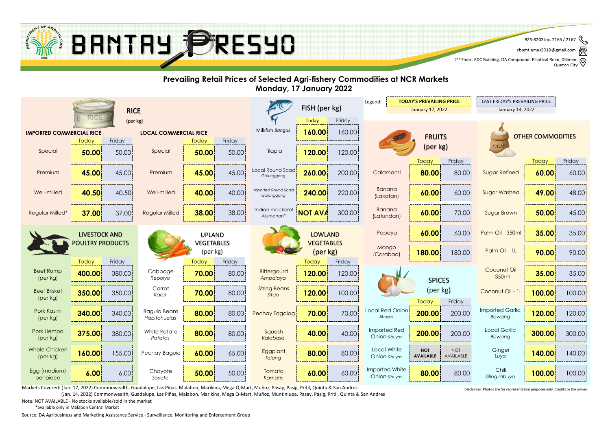

cbpmt.amas2019@gmail.com ☝

2<sup>nd</sup> Floor, ADC Building, DA Compound, Elliptical Road, Diliman, Q<br>2<sup>nd</sup> Floor, ADC Building, DA Compound, Elliptical Road, Diliman, Q Quezon City



Markets Covered: (Jan. 17, 2022) Commonwealth, Guadalupe, Las Piñas, Malabon, Marikina, Mega Q-Mart, Muñoz, Pasay, Pasig, Pritil, Quinta & San Andres

(Jan. 14, 2022) Commonwealth, Guadalupe, Las Piñas, Malabon, Marikina, Mega Q-Mart, Muñoz, Muntinlupa, Pasay, Pasig, Pritil, Quinta & San Andres

Disclaimer: Photos are for representation purposes only. Credits to the owner.

Note: NOT AVAILABLE - No stocks available/sold in the market

\*available only in Malabon Central Market

Source: DA Agribusiness and Marketing Assistance Service - Surveillance, Monitoring and Enforcement Group

 $\mathscr{E}$ 926-8203 loc. 2165 / 2167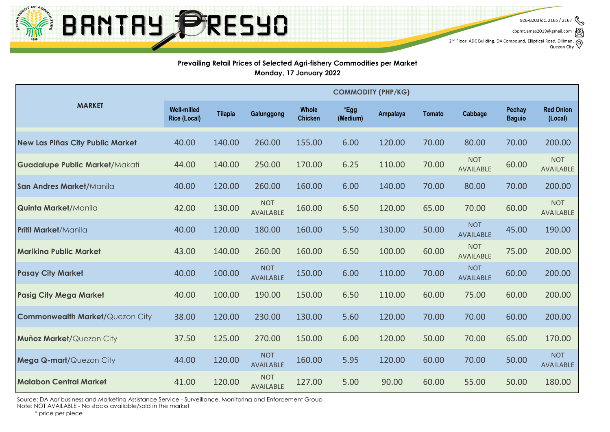

cbpmt.amas2019@gmail.co

2<sup>nd</sup> Floor, ADC Building, DA Compound, Elliptical Road, Diliman, , ල Quezon City

#### **Prevailing Retail Prices of Selected Agri-fishery Commodities per Market Monday, 17 January 2022**

|                                         | <b>COMMODITY (PHP/KG)</b>                 |                |                                |                         |                  |          |               |                                |                         |                                |
|-----------------------------------------|-------------------------------------------|----------------|--------------------------------|-------------------------|------------------|----------|---------------|--------------------------------|-------------------------|--------------------------------|
| <b>MARKET</b>                           | <b>Well-milled</b><br><b>Rice (Local)</b> | <b>Tilapia</b> | Galunggong                     | Whole<br><b>Chicken</b> | *Egg<br>(Medium) | Ampalaya | <b>Tomato</b> | Cabbage                        | Pechay<br><b>Baguio</b> | <b>Red Onion</b><br>(Local)    |
| <b>New Las Piñas City Public Market</b> | 40.00                                     | 140.00         | 260.00                         | 155.00                  | 6.00             | 120.00   | 70.00         | 80.00                          | 70.00                   | 200.00                         |
| <b>Guadalupe Public Market/Makati</b>   | 44.00                                     | 140.00         | 250.00                         | 170.00                  | 6.25             | 110.00   | 70.00         | <b>NOT</b><br>AVAILABLE        | 60.00                   | <b>NOT</b><br><b>AVAILABLE</b> |
| San Andres Market/Manila                | 40.00                                     | 120.00         | 260.00                         | 160.00                  | 6.00             | 140.00   | 70.00         | 80.00                          | 70.00                   | 200.00                         |
| <b>Quinta Market/Manila</b>             | 42.00                                     | 130.00         | <b>NOT</b><br><b>AVAILABLE</b> | 160.00                  | 6.50             | 120.00   | 65.00         | 70.00                          | 60.00                   | <b>NOT</b><br>AVAILABLE        |
| <b>Pritil Market/Manila</b>             | 40.00                                     | 120.00         | 180.00                         | 160.00                  | 5.50             | 130.00   | 50.00         | <b>NOT</b><br><b>AVAILABLE</b> | 45.00                   | 190.00                         |
| <b>Marikina Public Market</b>           | 43.00                                     | 140.00         | 260.00                         | 160.00                  | 6.50             | 100.00   | 60.00         | <b>NOT</b><br>AVAILABLE        | 75.00                   | 200.00                         |
| <b>Pasay City Market</b>                | 40.00                                     | 100.00         | <b>NOT</b><br><b>AVAILABLE</b> | 150.00                  | 6.00             | 110.00   | 70.00         | <b>NOT</b><br><b>AVAILABLE</b> | 60.00                   | 200.00                         |
| <b>Pasig City Mega Market</b>           | 40.00                                     | 100.00         | 190.00                         | 150.00                  | 6.50             | 110.00   | 60.00         | 75.00                          | 60.00                   | 200.00                         |
| <b>Commonwealth Market/Quezon City</b>  | 38.00                                     | 120.00         | 230.00                         | 130.00                  | 5.60             | 120.00   | 70.00         | 70.00                          | 60.00                   | 200.00                         |
| Muñoz Market/Quezon City                | 37.50                                     | 125.00         | 270.00                         | 150.00                  | 6.00             | 120.00   | 50.00         | 70.00                          | 65.00                   | 170.00                         |
| Mega Q-mart/Quezon City                 | 44.00                                     | 120.00         | <b>NOT</b><br><b>AVAILABLE</b> | 160.00                  | 5.95             | 120.00   | 60.00         | 70.00                          | 50.00                   | <b>NOT</b><br><b>AVAILABLE</b> |
| <b>Malabon Central Market</b>           | 41.00                                     | 120.00         | <b>NOT</b><br>AVAILABLE        | 127.00                  | 5.00             | 90.00    | 60.00         | 55.00                          | 50.00                   | 180.00                         |

Source: DA Agribusiness and Marketing Assistance Service - Surveillance, Monitoring and Enforcement Group

Note: NOT AVAILABLE - No stocks available/sold in the market

\* price per piece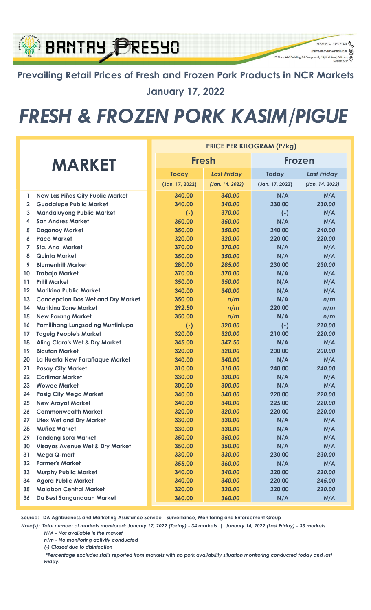### Prevailing Retail Prices of Fresh and Frozen Pork Products in NCR Markets January 17, 2022

926-8203 loc. 2165 / 2167

q

cbpmt.amas2019@gr

2<sup>nd</sup> Floor, ADC Building, DA Compound, Elliptical Re

**BRNTRY PRESYO** 

# FRESH & FROZEN PORK KASIM/PIGUE

|                |                                            | <b>PRICE PER KILOGRAM (P/kg)</b> |                    |                 |                    |  |  |
|----------------|--------------------------------------------|----------------------------------|--------------------|-----------------|--------------------|--|--|
| <b>MARKET</b>  |                                            |                                  | <b>Fresh</b>       | <b>Frozen</b>   |                    |  |  |
|                |                                            | <b>Today</b>                     | <b>Last Friday</b> | <b>Today</b>    | <b>Last Friday</b> |  |  |
|                |                                            | (Jan. 17, 2022)                  | (Jan. 14, 2022)    | (Jan. 17, 2022) | (Jan. 14, 2022)    |  |  |
| $\mathbf{1}$   | New Las Piñas City Public Market           | 340.00                           | 340.00             | N/A             | N/A                |  |  |
| $\overline{2}$ | <b>Guadalupe Public Market</b>             | 340.00                           | 340.00             | 230.00          | 230.00             |  |  |
| 3              | <b>Mandaluyong Public Market</b>           | $(-)$                            | 370.00             | $(-)$           | N/A                |  |  |
| 4              | <b>San Andres Market</b>                   | 350.00                           | 350.00             | N/A             | N/A                |  |  |
| 5              | <b>Dagonoy Market</b>                      | 350.00                           | 350.00             | 240.00          | 240.00             |  |  |
| 6              | <b>Paco Market</b>                         | 320.00                           | 320.00             | 220.00          | 220.00             |  |  |
| $\overline{7}$ | Sta. Ana Market                            | 370.00                           | 370.00             | N/A             | N/A                |  |  |
| 8              | Quinta Market                              | 350.00                           | 350.00             | N/A             | N/A                |  |  |
| 9              | <b>Blumentritt Market</b>                  | 280.00                           | 285.00             | 230.00          | 230.00             |  |  |
| 10             | <b>Trabajo Market</b>                      | 370.00                           | 370.00             | N/A             | N/A                |  |  |
| 11             | <b>Pritil Market</b>                       | 350.00                           | 350.00             | N/A             | N/A                |  |  |
| $12 \,$        | <b>Mariking Public Market</b>              | 340.00                           | 340.00             | N/A             | N/A                |  |  |
| 13             | <b>Concepcion Dos Wet and Dry Market</b>   | 350.00                           | n/m                | N/A             | n/m                |  |  |
| 14             | <b>Marikina Zone Market</b>                | 292.50                           | n/m                | 220.00          | n/m                |  |  |
| 15             | <b>New Parang Market</b>                   | 350.00                           | n/m                | N/A             | n/m                |  |  |
| 16             | Pamilihang Lungsod ng Muntinlupa           | $(-)$                            | 320.00             | $(-)$           | 210.00             |  |  |
| 17             | <b>Taguig People's Market</b>              | 320.00                           | 320.00             | 210.00          | 220.00             |  |  |
| 18             | <b>Aling Clara's Wet &amp; Dry Market</b>  | 345.00                           | 347.50             | N/A             | N/A                |  |  |
| 19             | <b>Bicutan Market</b>                      | 320.00                           | 320.00             | 200.00          | 200.00             |  |  |
| 20             | La Huerta New Parañaque Market             | 340.00                           | 340.00             | N/A             | N/A                |  |  |
| 21             | <b>Pasay City Market</b>                   | 310.00                           | 310.00             | 240.00          | 240.00             |  |  |
| 22             | <b>Cartimar Market</b>                     | 330.00                           | 330.00             | N/A             | N/A                |  |  |
| 23             | <b>Wowee Market</b>                        | 300.00                           | 300.00             | N/A             | N/A                |  |  |
| 24             | <b>Pasig City Mega Market</b>              | 340.00                           | 340.00             | 220.00          | 220.00             |  |  |
| 25             | <b>New Arayat Market</b>                   | 340.00                           | 340.00             | 225.00          | 220.00             |  |  |
| 26             | <b>Commonwealth Market</b>                 | 320.00                           | 320.00             | 220.00          | 220.00             |  |  |
| 27             | <b>Litex Wet and Dry Market</b>            | 330.00                           | 330.00             | N/A             | N/A                |  |  |
| 28             | <b>Muñoz Market</b>                        | 330.00                           | 330.00             | N/A             | N/A                |  |  |
| 29             | <b>Tandang Sora Market</b>                 | 350.00                           | 350.00             | N/A             | N/A                |  |  |
| 30             | <b>Visayas Avenue Wet &amp; Dry Market</b> | 350.00                           | 350.00             | N/A             | N/A                |  |  |
| 31             | Mega Q-mart                                | 330.00                           | 330.00             | 230.00          | 230.00             |  |  |
| 32             | <b>Farmer's Market</b>                     | 355.00                           | 360.00             | N/A             | N/A                |  |  |
| 33             | <b>Murphy Public Market</b>                | 340.00                           | 340.00             | 220.00          | 220.00             |  |  |
| 34             | <b>Agora Public Market</b>                 | 340.00                           | 340.00             | 220.00          | 245.00             |  |  |
| 35             | <b>Malabon Central Market</b>              | 320.00                           | 320.00             | 220.00          | 220.00             |  |  |
| 36             | Da Best Sangandaan Market                  | 360.00                           | 360.00             | N/A             | N/A                |  |  |

Source: DA Agribusiness and Marketing Assistance Service - Surveillance, Monitoring and Enforcement Group

N/A - Not available in the market Note(s): Total number of markets monitored: January 17, 2022 (Today) - 34 markets | January 14, 2022 (Last Friday) - 33 markets

n/m - No monitoring activity conducted

(-) Closed due to disinfection

 \*Percentage excludes stalls reported from markets with no pork availability situation monitoring conducted today and last Friday.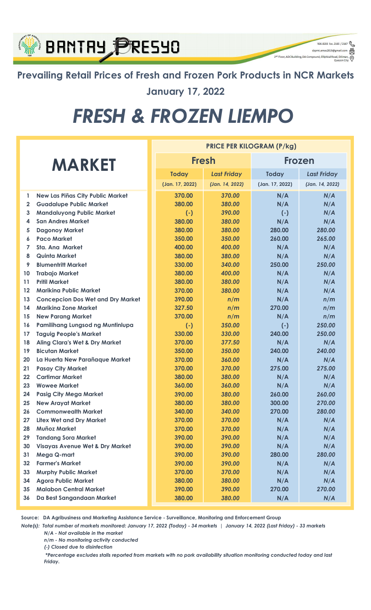

Prevailing Retail Prices of Fresh and Frozen Pork Products in NCR Markets January 17, 2022

926-8203 loc. 2165 / 2167  $\begin{picture}(16,10) \put(0,0){\line(1,0){100}} \put(15,0){\line(1,0){100}} \put(15,0){\line(1,0){100}} \put(15,0){\line(1,0){100}} \put(15,0){\line(1,0){100}} \put(15,0){\line(1,0){100}} \put(15,0){\line(1,0){100}} \put(15,0){\line(1,0){100}} \put(15,0){\line(1,0){100}} \put(15,0){\line(1,0){100}} \put(15,0){\line(1,0){100}} \$ 

⊚

2<sup>nd</sup> Floor, ADC Building, DA Compound, Elliptical Ro

# FRESH & FROZEN LIEMPO

|                   |                                            | <b>PRICE PER KILOGRAM (P/kg)</b> |                    |                 |                    |  |  |  |
|-------------------|--------------------------------------------|----------------------------------|--------------------|-----------------|--------------------|--|--|--|
| <b>MARKET</b>     |                                            |                                  | <b>Fresh</b>       | Frozen          |                    |  |  |  |
|                   |                                            | <b>Today</b>                     | <b>Last Friday</b> | <b>Today</b>    | <b>Last Friday</b> |  |  |  |
|                   |                                            | (Jan. 17, 2022)                  | (Jan. 14, 2022)    | (Jan. 17, 2022) | (Jan. 14, 2022)    |  |  |  |
| 1                 | <b>New Las Piñas City Public Market</b>    | 370.00                           | 370.00             | N/A             | N/A                |  |  |  |
| $\overline{2}$    | <b>Guadalupe Public Market</b>             | 380.00                           | 380.00             | N/A             | N/A                |  |  |  |
| 3                 | <b>Mandaluyong Public Market</b>           | $(-)$                            | 390.00             | $(-)$           | N/A                |  |  |  |
| 4                 | <b>San Andres Market</b>                   | 380.00                           | 380.00             | N/A             | N/A                |  |  |  |
| 5                 | <b>Dagonoy Market</b>                      | 380.00                           | 380.00             | 280.00          | 280.00             |  |  |  |
| 6                 | <b>Paco Market</b>                         | 350.00                           | 350.00             | 260.00          | 265.00             |  |  |  |
| 7                 | <b>Sta. Ana Market</b>                     | 400.00                           | 400.00             | N/A             | N/A                |  |  |  |
| 8                 | <b>Quinta Market</b>                       | 380.00                           | 380.00             | N/A             | N/A                |  |  |  |
| 9                 | <b>Blumentritt Market</b>                  | 330.00                           | 340.00             | 250.00          | 250.00             |  |  |  |
| 10                | <b>Trabajo Market</b>                      | 380.00                           | 400.00             | N/A             | N/A                |  |  |  |
| 11                | <b>Pritil Market</b>                       | 380.00                           | 380.00             | N/A             | N/A                |  |  |  |
| $12 \overline{ }$ | <b>Marikina Public Market</b>              | 370.00                           | 380.00             | N/A             | N/A                |  |  |  |
| 13                | <b>Concepcion Dos Wet and Dry Market</b>   | 390.00                           | n/m                | N/A             | n/m                |  |  |  |
| 14                | <b>Marikina Zone Market</b>                | 327.50                           | n/m                | 270.00          | n/m                |  |  |  |
| 15                | <b>New Parang Market</b>                   | 370.00                           | n/m                | N/A             | n/m                |  |  |  |
| 16                | Pamilihang Lungsod ng Muntinlupa           | $(-)$                            | 350.00             | $(-)$           | 250.00             |  |  |  |
| 17                | <b>Taguig People's Market</b>              | 330.00                           | 330.00             | 240.00          | 250.00             |  |  |  |
| 18                | <b>Aling Clara's Wet &amp; Dry Market</b>  | 370.00                           | 377.50             | N/A             | N/A                |  |  |  |
| 19                | <b>Bicutan Market</b>                      | 350.00                           | 350.00             | 240.00          | 240.00             |  |  |  |
| 20                | La Huerta New Parañaque Market             | 370.00                           | 360.00             | N/A             | N/A                |  |  |  |
| 21                | <b>Pasay City Market</b>                   | 370.00                           | 370.00             | 275.00          | 275.00             |  |  |  |
| 22                | <b>Cartimar Market</b>                     | 380.00                           | 380.00             | N/A             | N/A                |  |  |  |
| 23                | <b>Wowee Market</b>                        | 360.00                           | 360.00             | N/A             | N/A                |  |  |  |
| 24                | <b>Pasig City Mega Market</b>              | 390.00                           | 380.00             | 260.00          | 260.00             |  |  |  |
| 25                | <b>New Arayat Market</b>                   | 380.00                           | 380.00             | 300.00          | 270.00             |  |  |  |
| 26                | <b>Commonwealth Market</b>                 | 340.00                           | 340.00             | 270.00          | 280.00             |  |  |  |
| 27                | <b>Litex Wet and Dry Market</b>            | 370.00                           | 370.00             | N/A             | N/A                |  |  |  |
| 28                | <b>Muñoz Market</b>                        | 370.00                           | 370.00             | N/A             | N/A                |  |  |  |
| 29                | <b>Tandang Sora Market</b>                 | 390.00                           | 390.00             | N/A             | N/A                |  |  |  |
| 30                | <b>Visayas Avenue Wet &amp; Dry Market</b> | 390.00                           | 390.00             | N/A             | N/A                |  |  |  |
| 31                | Mega Q-mart                                | 390.00                           | 390.00             | 280.00          | 280.00             |  |  |  |
| 32                | <b>Farmer's Market</b>                     | 390.00                           | 390.00             | N/A             | N/A                |  |  |  |
| 33                | <b>Murphy Public Market</b>                | 370.00                           | 370.00             | N/A             | N/A                |  |  |  |
| 34                | <b>Agora Public Market</b>                 | 380.00                           | 380.00             | N/A             | N/A                |  |  |  |
| 35                | <b>Malabon Central Market</b>              | 390.00                           | 390.00             | 270.00          | 270.00             |  |  |  |
| 36                | Da Best Sangandaan Market                  | 380.00                           | 380.00             | N/A             | N/A                |  |  |  |

Source: DA Agribusiness and Marketing Assistance Service - Surveillance, Monitoring and Enforcement Group

Note(s): Total number of markets monitored: January 17, 2022 (Today) - 34 markets | January 14, 2022 (Last Friday) - 33 markets N/A - Not available in the market

n/m - No monitoring activity conducted

(-) Closed due to disinfection

 \*Percentage excludes stalls reported from markets with no pork availability situation monitoring conducted today and last Friday.